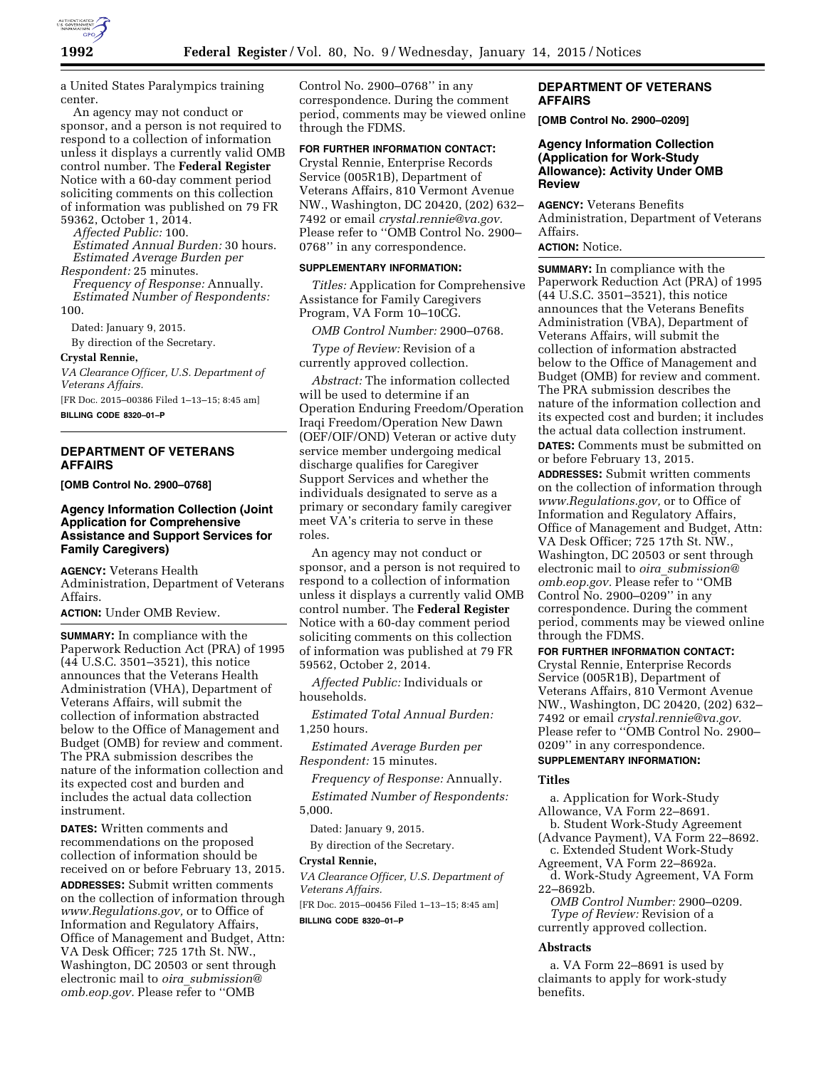

a United States Paralympics training center.

An agency may not conduct or sponsor, and a person is not required to respond to a collection of information unless it displays a currently valid OMB control number. The **Federal Register**  Notice with a 60-day comment period soliciting comments on this collection of information was published on 79 FR 59362, October 1, 2014.

*Affected Public:* 100.

*Estimated Annual Burden:* 30 hours. *Estimated Average Burden per Respondent:* 25 minutes.

*Frequency of Response:* Annually. *Estimated Number of Respondents:* 

100.

Dated: January 9, 2015.

By direction of the Secretary.

## **Crystal Rennie,**

*VA Clearance Officer, U.S. Department of Veterans Affairs.* 

[FR Doc. 2015–00386 Filed 1–13–15; 8:45 am] **BILLING CODE 8320–01–P** 

# **DEPARTMENT OF VETERANS AFFAIRS**

**[OMB Control No. 2900–0768]** 

# **Agency Information Collection (Joint Application for Comprehensive Assistance and Support Services for Family Caregivers)**

**AGENCY:** Veterans Health Administration, Department of Veterans Affairs.

**ACTION:** Under OMB Review.

**SUMMARY:** In compliance with the Paperwork Reduction Act (PRA) of 1995 (44 U.S.C. 3501–3521), this notice announces that the Veterans Health Administration (VHA), Department of Veterans Affairs, will submit the collection of information abstracted below to the Office of Management and Budget (OMB) for review and comment. The PRA submission describes the nature of the information collection and its expected cost and burden and includes the actual data collection instrument.

**DATES:** Written comments and recommendations on the proposed collection of information should be received on or before February 13, 2015.

**ADDRESSES:** Submit written comments on the collection of information through *[www.Regulations.gov,](http://www.Regulations.gov)* or to Office of Information and Regulatory Affairs, Office of Management and Budget, Attn: VA Desk Officer; 725 17th St. NW., Washington, DC 20503 or sent through electronic mail to *oira*\_*[submission@](mailto:oira_submission@omb.eop.gov) [omb.eop.gov.](mailto:oira_submission@omb.eop.gov)* Please refer to ''OMB

Control No. 2900–0768'' in any correspondence. During the comment period, comments may be viewed online through the FDMS.

# **FOR FURTHER INFORMATION CONTACT:**

Crystal Rennie, Enterprise Records Service (005R1B), Department of Veterans Affairs, 810 Vermont Avenue NW., Washington, DC 20420, (202) 632– 7492 or email *[crystal.rennie@va.gov.](mailto:crystal.rennie@va.gov)*  Please refer to ''OMB Control No. 2900– 0768'' in any correspondence.

#### **SUPPLEMENTARY INFORMATION:**

*Titles:* Application for Comprehensive Assistance for Family Caregivers Program, VA Form 10–10CG.

*OMB Control Number:* 2900–0768.

*Type of Review:* Revision of a currently approved collection.

*Abstract:* The information collected will be used to determine if an Operation Enduring Freedom/Operation Iraqi Freedom/Operation New Dawn (OEF/OIF/OND) Veteran or active duty service member undergoing medical discharge qualifies for Caregiver Support Services and whether the individuals designated to serve as a primary or secondary family caregiver meet VA's criteria to serve in these roles.

An agency may not conduct or sponsor, and a person is not required to respond to a collection of information unless it displays a currently valid OMB control number. The **Federal Register**  Notice with a 60-day comment period soliciting comments on this collection of information was published at 79 FR 59562, October 2, 2014.

*Affected Public:* Individuals or households.

*Estimated Total Annual Burden:*  1,250 hours.

*Estimated Average Burden per Respondent:* 15 minutes.

*Frequency of Response:* Annually. *Estimated Number of Respondents:*  5,000.

Dated: January 9, 2015.

By direction of the Secretary.

# **Crystal Rennie,**

*VA Clearance Officer, U.S. Department of Veterans Affairs.* 

[FR Doc. 2015–00456 Filed 1–13–15; 8:45 am]

**BILLING CODE 8320–01–P** 

# **DEPARTMENT OF VETERANS AFFAIRS**

**[OMB Control No. 2900–0209]** 

#### **Agency Information Collection (Application for Work-Study Allowance): Activity Under OMB Review**

**AGENCY:** Veterans Benefits Administration, Department of Veterans Affairs.

# **ACTION:** Notice.

**SUMMARY:** In compliance with the Paperwork Reduction Act (PRA) of 1995 (44 U.S.C. 3501–3521), this notice announces that the Veterans Benefits Administration (VBA), Department of Veterans Affairs, will submit the collection of information abstracted below to the Office of Management and Budget (OMB) for review and comment. The PRA submission describes the nature of the information collection and its expected cost and burden; it includes the actual data collection instrument. **DATES:** Comments must be submitted on or before February 13, 2015.

**ADDRESSES:** Submit written comments on the collection of information through *[www.Regulations.gov,](http://www.Regulations.gov)* or to Office of Information and Regulatory Affairs, Office of Management and Budget, Attn: VA Desk Officer; 725 17th St. NW., Washington, DC 20503 or sent through electronic mail to *oira*\_*[submission@](mailto:oira_submission@omb.eop.gov) [omb.eop.gov.](mailto:oira_submission@omb.eop.gov)* Please refer to ''OMB Control No. 2900–0209'' in any correspondence. During the comment period, comments may be viewed online through the FDMS.

# **FOR FURTHER INFORMATION CONTACT:**

Crystal Rennie, Enterprise Records Service (005R1B), Department of Veterans Affairs, 810 Vermont Avenue NW., Washington, DC 20420, (202) 632– 7492 or email *[crystal.rennie@va.gov.](mailto:crystal.rennie@va.gov)*  Please refer to ''OMB Control No. 2900– 0209'' in any correspondence.

# **SUPPLEMENTARY INFORMATION:**

#### **Titles**

a. Application for Work-Study Allowance, VA Form 22–8691.

b. Student Work-Study Agreement (Advance Payment), VA Form 22–8692.

c. Extended Student Work-Study Agreement, VA Form 22–8692a.

d. Work-Study Agreement, VA Form 22–8692b.

*OMB Control Number:* 2900–0209. *Type of Review:* Revision of a currently approved collection.

#### **Abstracts**

a. VA Form 22–8691 is used by claimants to apply for work-study benefits.